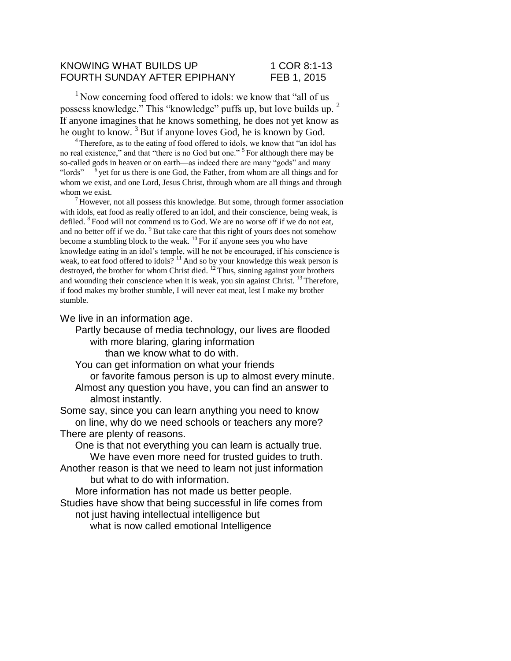## KNOWING WHAT BUILDS UP 1 COR 8:1-13 FOURTH SUNDAY AFTER EPIPHANY FEB 1, 2015

 $1$  Now concerning food offered to idols: we know that "all of us possess knowledge." This "knowledge" puffs up, but love builds up. <sup>2</sup> If anyone imagines that he knows something, he does not yet know as he ought to know.  $3$  But if anyone loves God, he is known by God.

<sup>4</sup>Therefore, as to the eating of food offered to idols, we know that "an idol has no real existence," and that "there is no God but one." <sup>5</sup> For although there may be so-called gods in heaven or on earth—as indeed there are many "gods" and many "lords"— $<sup>6</sup>$  yet for us there is one God, the Father, from whom are all things and for</sup> whom we exist, and one Lord, Jesus Christ, through whom are all things and through whom we exist.

 $<sup>7</sup>$  However, not all possess this knowledge. But some, through former association</sup> with idols, eat food as really offered to an idol, and their conscience, being weak, is defiled. <sup>8</sup> Food will not commend us to God. We are no worse off if we do not eat, and no better off if we do.  $9But$  take care that this right of yours does not somehow become a stumbling block to the weak.  $^{10}$  For if anyone sees you who have knowledge eating in an idol's temple, will he not be encouraged, if his conscience is weak, to eat food offered to idols?  $11$  And so by your knowledge this weak person is destroyed, the brother for whom Christ died.  $^{12}$  Thus, sinning against your brothers and wounding their conscience when it is weak, you sin against Christ.  $^{13}$  Therefore, if food makes my brother stumble, I will never eat meat, lest I make my brother stumble.

We live in an information age.

Partly because of media technology, our lives are flooded with more blaring, glaring information

than we know what to do with.

You can get information on what your friends

or favorite famous person is up to almost every minute. Almost any question you have, you can find an answer to

almost instantly.

Some say, since you can learn anything you need to know

on line, why do we need schools or teachers any more? There are plenty of reasons.

One is that not everything you can learn is actually true. We have even more need for trusted guides to truth.

Another reason is that we need to learn not just information but what to do with information.

More information has not made us better people.

Studies have show that being successful in life comes from

not just having intellectual intelligence but

what is now called emotional Intelligence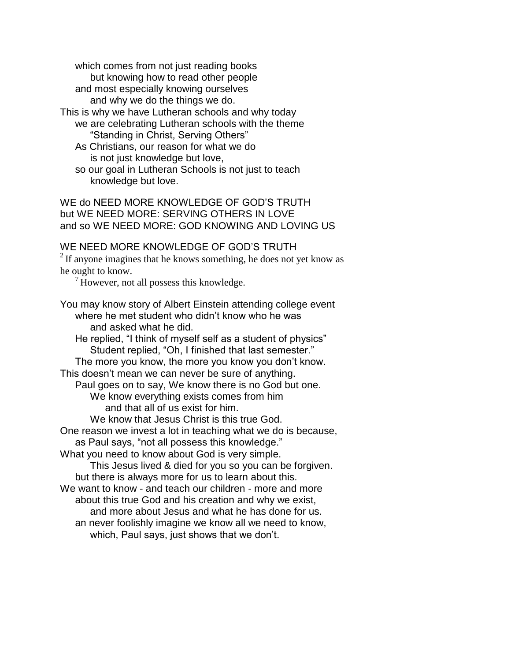which comes from not just reading books but knowing how to read other people and most especially knowing ourselves and why we do the things we do.

This is why we have Lutheran schools and why today we are celebrating Lutheran schools with the theme "Standing in Christ, Serving Others"

- As Christians, our reason for what we do is not just knowledge but love,
- so our goal in Lutheran Schools is not just to teach knowledge but love.

WE do NEED MORE KNOWLEDGE OF GOD'S TRUTH but WE NEED MORE: SERVING OTHERS IN LOVE and so WE NEED MORE: GOD KNOWING AND LOVING US

WE NEED MORE KNOWLEDGE OF GOD'S TRUTH  $2<sup>2</sup>$  If anyone imagines that he knows something, he does not yet know as he ought to know.

 $<sup>7</sup>$  However, not all possess this knowledge.</sup>

You may know story of Albert Einstein attending college event where he met student who didn't know who he was and asked what he did. He replied, "I think of myself self as a student of physics" Student replied, "Oh, I finished that last semester." The more you know, the more you know you don't know. This doesn't mean we can never be sure of anything. Paul goes on to say, We know there is no God but one. We know everything exists comes from him and that all of us exist for him. We know that Jesus Christ is this true God. One reason we invest a lot in teaching what we do is because, as Paul says, "not all possess this knowledge." What you need to know about God is very simple. This Jesus lived & died for you so you can be forgiven. but there is always more for us to learn about this. We want to know - and teach our children - more and more about this true God and his creation and why we exist, and more about Jesus and what he has done for us. an never foolishly imagine we know all we need to know, which, Paul says, just shows that we don't.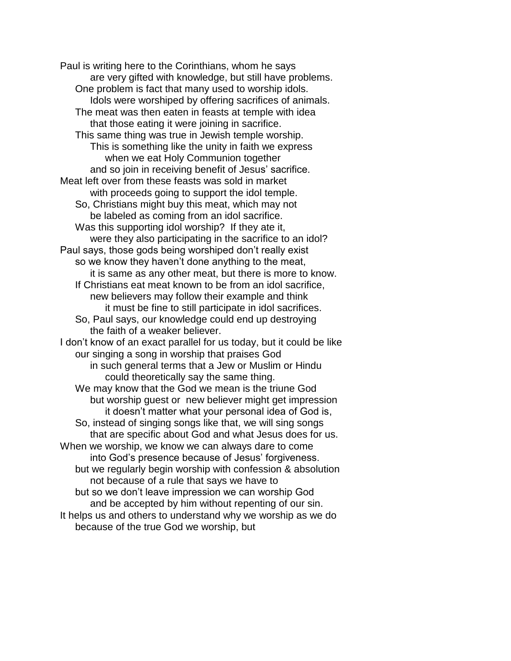Paul is writing here to the Corinthians, whom he says are very gifted with knowledge, but still have problems. One problem is fact that many used to worship idols. Idols were worshiped by offering sacrifices of animals. The meat was then eaten in feasts at temple with idea that those eating it were joining in sacrifice. This same thing was true in Jewish temple worship. This is something like the unity in faith we express when we eat Holy Communion together and so join in receiving benefit of Jesus' sacrifice. Meat left over from these feasts was sold in market with proceeds going to support the idol temple. So, Christians might buy this meat, which may not be labeled as coming from an idol sacrifice. Was this supporting idol worship? If they ate it, were they also participating in the sacrifice to an idol? Paul says, those gods being worshiped don't really exist so we know they haven't done anything to the meat, it is same as any other meat, but there is more to know. If Christians eat meat known to be from an idol sacrifice, new believers may follow their example and think it must be fine to still participate in idol sacrifices. So, Paul says, our knowledge could end up destroying the faith of a weaker believer. I don't know of an exact parallel for us today, but it could be like our singing a song in worship that praises God in such general terms that a Jew or Muslim or Hindu could theoretically say the same thing. We may know that the God we mean is the triune God but worship guest or new believer might get impression it doesn't matter what your personal idea of God is, So, instead of singing songs like that, we will sing songs that are specific about God and what Jesus does for us. When we worship, we know we can always dare to come into God's presence because of Jesus' forgiveness. but we regularly begin worship with confession & absolution not because of a rule that says we have to but so we don't leave impression we can worship God and be accepted by him without repenting of our sin. It helps us and others to understand why we worship as we do because of the true God we worship, but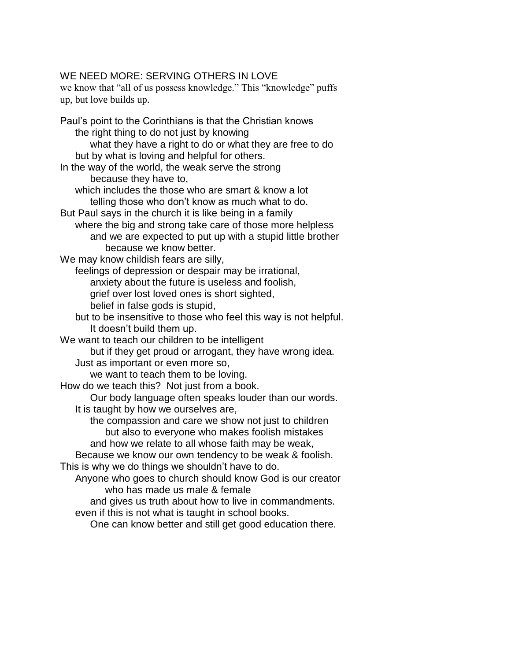## WE NEED MORE: SERVING OTHERS IN LOVE

we know that "all of us possess knowledge." This "knowledge" puffs up, but love builds up.

Paul's point to the Corinthians is that the Christian knows the right thing to do not just by knowing what they have a right to do or what they are free to do but by what is loving and helpful for others. In the way of the world, the weak serve the strong because they have to, which includes the those who are smart & know a lot telling those who don't know as much what to do. But Paul says in the church it is like being in a family where the big and strong take care of those more helpless and we are expected to put up with a stupid little brother because we know better. We may know childish fears are silly. feelings of depression or despair may be irrational, anxiety about the future is useless and foolish, grief over lost loved ones is short sighted, belief in false gods is stupid, but to be insensitive to those who feel this way is not helpful. It doesn't build them up. We want to teach our children to be intelligent but if they get proud or arrogant, they have wrong idea. Just as important or even more so, we want to teach them to be loving. How do we teach this? Not just from a book. Our body language often speaks louder than our words. It is taught by how we ourselves are, the compassion and care we show not just to children but also to everyone who makes foolish mistakes and how we relate to all whose faith may be weak, Because we know our own tendency to be weak & foolish. This is why we do things we shouldn't have to do. Anyone who goes to church should know God is our creator who has made us male & female and gives us truth about how to live in commandments. even if this is not what is taught in school books.

One can know better and still get good education there.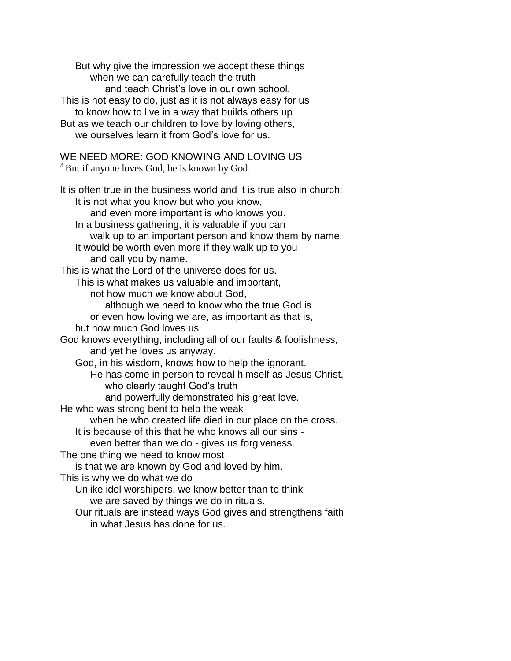But why give the impression we accept these things when we can carefully teach the truth and teach Christ's love in our own school. This is not easy to do, just as it is not always easy for us to know how to live in a way that builds others up But as we teach our children to love by loving others, we ourselves learn it from God's love for us. WE NEED MORE: GOD KNOWING AND LOVING US  $3$  But if anyone loves God, he is known by God. It is often true in the business world and it is true also in church: It is not what you know but who you know, and even more important is who knows you. In a business gathering, it is valuable if you can walk up to an important person and know them by name. It would be worth even more if they walk up to you and call you by name. This is what the Lord of the universe does for us. This is what makes us valuable and important, not how much we know about God, although we need to know who the true God is or even how loving we are, as important as that is, but how much God loves us God knows everything, including all of our faults & foolishness, and yet he loves us anyway. God, in his wisdom, knows how to help the ignorant. He has come in person to reveal himself as Jesus Christ, who clearly taught God's truth and powerfully demonstrated his great love. He who was strong bent to help the weak when he who created life died in our place on the cross. It is because of this that he who knows all our sins even better than we do - gives us forgiveness. The one thing we need to know most is that we are known by God and loved by him. This is why we do what we do Unlike idol worshipers, we know better than to think we are saved by things we do in rituals. Our rituals are instead ways God gives and strengthens faith in what Jesus has done for us.